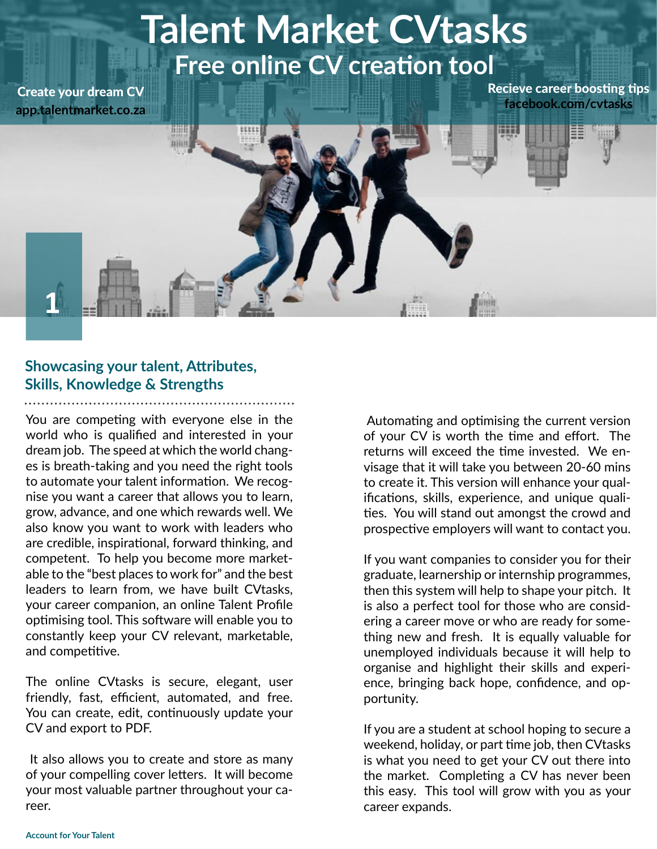# **Talent Market CVtasks Free online CV creation tool**

Create your dream CV **app.talentmarket.co.za**

**1**

Recieve career boosting tips **facebook.com/cvtasks**

#### **Showcasing your talent, Attributes, Skills, Knowledge & Strengths**

You are competing with everyone else in the world who is qualified and interested in your dream job. The speed at which the world changes is breath-taking and you need the right tools to automate your talent information. We recognise you want a career that allows you to learn, grow, advance, and one which rewards well. We also know you want to work with leaders who are credible, inspirational, forward thinking, and competent. To help you become more marketable to the "best places to work for" and the best leaders to learn from, we have built CVtasks, your career companion, an online Talent Profile optimising tool. This software will enable you to constantly keep your CV relevant, marketable, and competitive.

The online CVtasks is secure, elegant, user friendly, fast, efficient, automated, and free. You can create, edit, continuously update your CV and export to PDF.

 It also allows you to create and store as many of your compelling cover letters. It will become your most valuable partner throughout your career.

 Automating and optimising the current version of your CV is worth the time and effort. The returns will exceed the time invested. We envisage that it will take you between 20-60 mins to create it. This version will enhance your qualifications, skills, experience, and unique qualities. You will stand out amongst the crowd and prospective employers will want to contact you.

If you want companies to consider you for their graduate, learnership or internship programmes, then this system will help to shape your pitch. It is also a perfect tool for those who are considering a career move or who are ready for something new and fresh. It is equally valuable for unemployed individuals because it will help to organise and highlight their skills and experience, bringing back hope, confidence, and opportunity.

If you are a student at school hoping to secure a weekend, holiday, or part time job, then CVtasks is what you need to get your CV out there into the market. Completing a CV has never been this easy. This tool will grow with you as your career expands.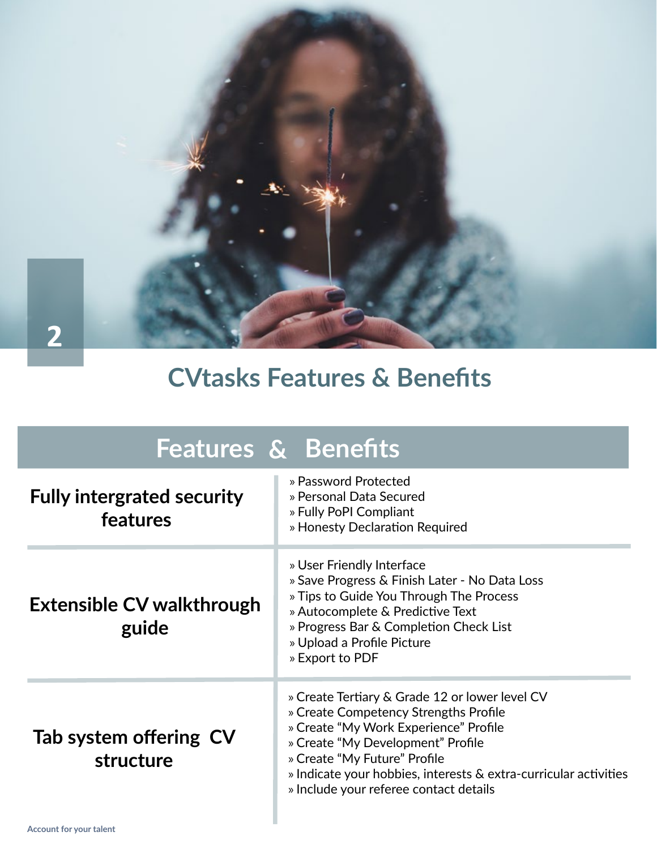**2**

# **CVtasks Features & Benefits**

| <b>Features &amp; Benefits</b>                |                                                                                                                                                                                                                                                                                                                     |  |  |  |  |
|-----------------------------------------------|---------------------------------------------------------------------------------------------------------------------------------------------------------------------------------------------------------------------------------------------------------------------------------------------------------------------|--|--|--|--|
| <b>Fully intergrated security</b><br>features | » Password Protected<br>» Personal Data Secured<br>» Fully PoPI Compliant<br>» Honesty Declaration Required                                                                                                                                                                                                         |  |  |  |  |
| <b>Extensible CV walkthrough</b><br>guide     | » User Friendly Interface<br>» Save Progress & Finish Later - No Data Loss<br>» Tips to Guide You Through The Process<br>» Autocomplete & Predictive Text<br>» Progress Bar & Completion Check List<br>» Upload a Profile Picture<br>» Export to PDF                                                                |  |  |  |  |
| Tab system offering CV<br>structure           | » Create Tertiary & Grade 12 or lower level CV<br>» Create Competency Strengths Profile<br>» Create "My Work Experience" Profile<br>» Create "My Development" Profile<br>» Create "My Future" Profile<br>» Indicate your hobbies, interests & extra-curricular activities<br>» Include your referee contact details |  |  |  |  |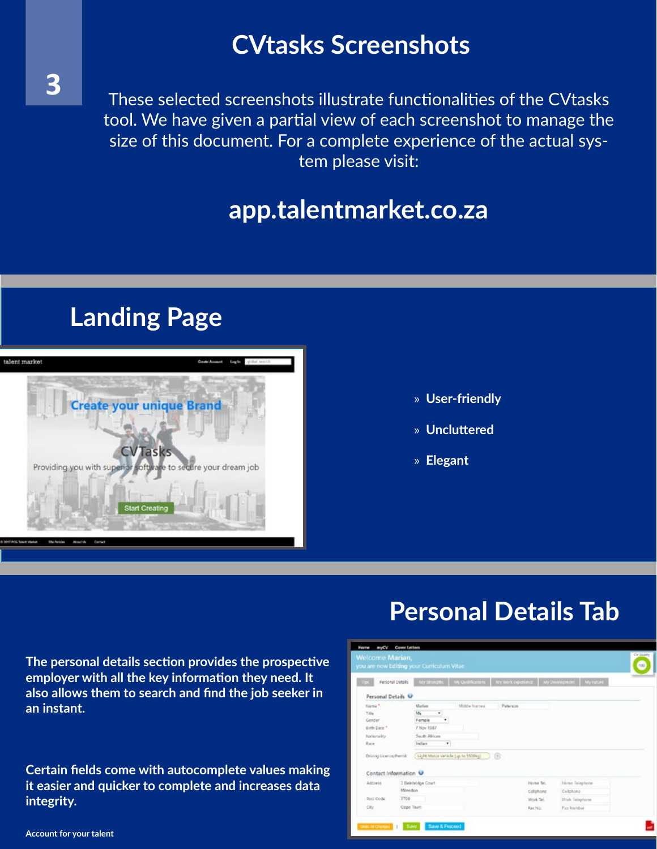### **CVtasks Screenshots**

These selected screenshots illustrate functionalities of the CVtasks tool. We have given a partial view of each screenshot to manage the size of this document. For a complete experience of the actual system please visit:

#### **app.talentmarket.co.za**

### **Landing Page**



- » **User-friendly**
- » **Uncluttered**
- » **Elegant**

**The personal details section provides the prospective employer with all the key information they need. It also allows them to search and find the job seeker in an instant.**

**Certain fields come with autocomplete values making it easier and quicker to complete and increases data integrity.**

#### **Personal Details Tab**

| Welcome Marian,                                                                                                         |                  | you are now Editing your Curriculum Vitae.                                             |                                                                 |                               |                                                                                    | CV Dayers<br>500 |
|-------------------------------------------------------------------------------------------------------------------------|------------------|----------------------------------------------------------------------------------------|-----------------------------------------------------------------|-------------------------------|------------------------------------------------------------------------------------|------------------|
|                                                                                                                         | Personal Details |                                                                                        |                                                                 |                               | Key Strangths   My Qualifications   My Work Operlimes   My Development   My Future |                  |
| Personal Details U                                                                                                      |                  |                                                                                        |                                                                 |                               |                                                                                    |                  |
| Name <sup>+</sup><br><b>Title</b><br>Gender<br>Birth Date <sup>+</sup><br>Nationality<br>Race<br>Driving Licence/Period |                  | Marian<br>Ms.<br>$\mathbf{r}$<br>٠<br>Fortals<br>7 Nov 1987<br>South African<br>Indian | Middle Names<br>$\bullet$<br>Light Motor Vehicle (up to 3500kg) | Puterson<br>a                 |                                                                                    |                  |
| Contact Information V                                                                                                   |                  |                                                                                        |                                                                 |                               |                                                                                    |                  |
| Address                                                                                                                 | <b>Minerton</b>  | 3 Beledeldge Court                                                                     |                                                                 | <b>Home Tel.</b><br>Collphone | Home Telephone<br>Calchong                                                         |                  |
| Post Code                                                                                                               | <b>TTO</b>       | Cope Tourn                                                                             |                                                                 | Work Tel.<br>Fax No.          | Work Telephone<br>Fax Namber                                                       |                  |